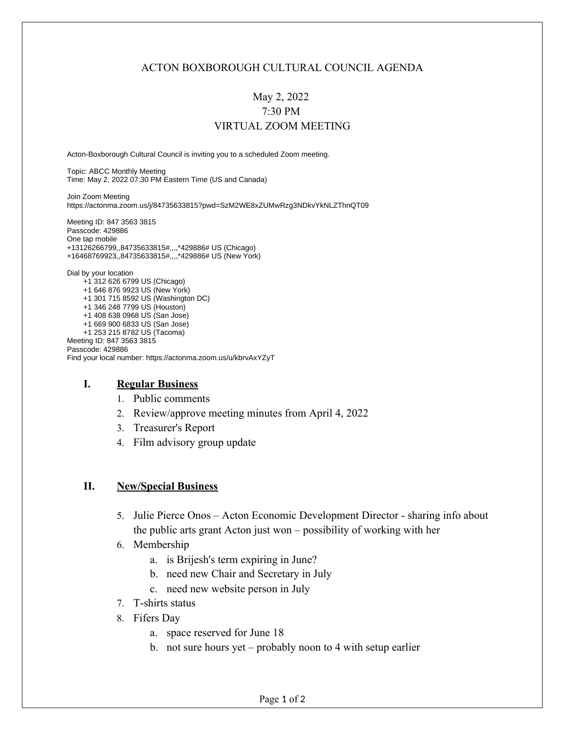## ACTON BOXBOROUGH CULTURAL COUNCIL AGENDA

# May 2, 2022 7:30 PM VIRTUAL ZOOM MEETING

Acton-Boxborough Cultural Council is inviting you to a scheduled Zoom meeting.

Topic: ABCC Monthly Meeting Time: May 2, 2022 07:30 PM Eastern Time (US and Canada)

Join Zoom Meeting https://actonma.zoom.us/j/84735633815?pwd=SzM2WE8xZUMwRzg3NDkvYkNLZThnQT09

Meeting ID: 847 3563 3815 Passcode: 429886 One tap mobile +13126266799,,84735633815#,,,,\*429886# US (Chicago) +16468769923,,84735633815#,,,,\*429886# US (New York)

Dial by your location +1 312 626 6799 US (Chicago) +1 646 876 9923 US (New York) +1 301 715 8592 US (Washington DC) +1 346 248 7799 US (Houston) +1 408 638 0968 US (San Jose) +1 669 900 6833 US (San Jose) +1 253 215 8782 US (Tacoma) Meeting ID: 847 3563 3815 Passcode: 429886 Find your local number: https://actonma.zoom.us/u/kbrvAxYZyT

#### **I. Regular Business**

- 1. Public comments
- 2. Review/approve meeting minutes from April 4, 2022
- 3. Treasurer's Report
- 4. Film advisory group update

### **II. New/Special Business**

- 5. Julie Pierce Onos Acton Economic Development Director sharing info about the public arts grant Acton just won – possibility of working with her
- 6. Membership
	- a. is Brijesh's term expiring in June?
	- b. need new Chair and Secretary in July
	- c. need new website person in July
- 7. T-shirts status
- 8. Fifers Day
	- a. space reserved for June 18
	- b. not sure hours yet probably noon to 4 with setup earlier